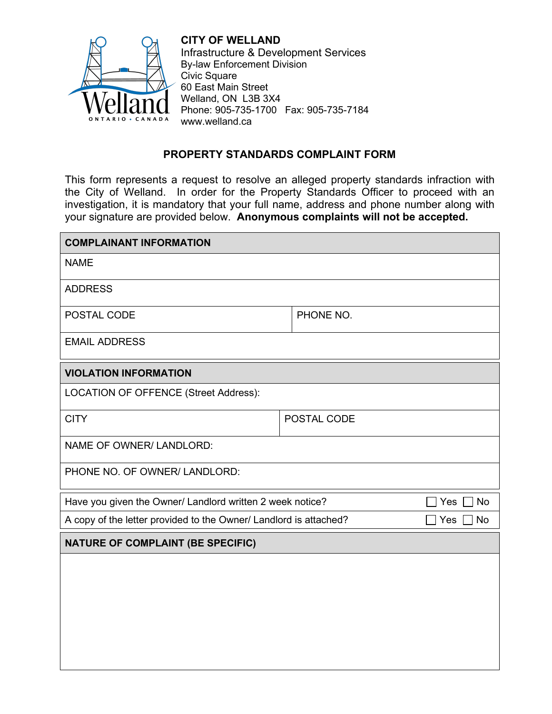

 Phone: 905-735-1700 Fax: 905-735-7184 **CITY OF WELLAND**  Infrastructure & Development Services By-law Enforcement Division Civic Square 60 East Main Street Welland, ON L3B 3X4 www.welland.ca

## **PROPERTY STANDARDS COMPLAINT FORM**

 your signature are provided below. **Anonymous complaints will not be accepted.**  This form represents a request to resolve an alleged property standards infraction with the City of Welland. In order for the Property Standards Officer to proceed with an investigation, it is mandatory that your full name, address and phone number along with

| <b>COMPLAINANT INFORMATION</b>                                                        |             |  |
|---------------------------------------------------------------------------------------|-------------|--|
| <b>NAME</b>                                                                           |             |  |
| <b>ADDRESS</b>                                                                        |             |  |
| POSTAL CODE                                                                           | PHONE NO.   |  |
| <b>EMAIL ADDRESS</b>                                                                  |             |  |
| <b>VIOLATION INFORMATION</b>                                                          |             |  |
| LOCATION OF OFFENCE (Street Address):                                                 |             |  |
| <b>CITY</b>                                                                           | POSTAL CODE |  |
| NAME OF OWNER/ LANDLORD:                                                              |             |  |
| PHONE NO. OF OWNER/ LANDLORD:                                                         |             |  |
| Have you given the Owner/ Landlord written 2 week notice?<br><b>No</b><br>Yes         |             |  |
| A copy of the letter provided to the Owner/ Landlord is attached?<br>Yes<br><b>No</b> |             |  |
| <b>NATURE OF COMPLAINT (BE SPECIFIC)</b>                                              |             |  |
|                                                                                       |             |  |
|                                                                                       |             |  |
|                                                                                       |             |  |
|                                                                                       |             |  |
|                                                                                       |             |  |
|                                                                                       |             |  |